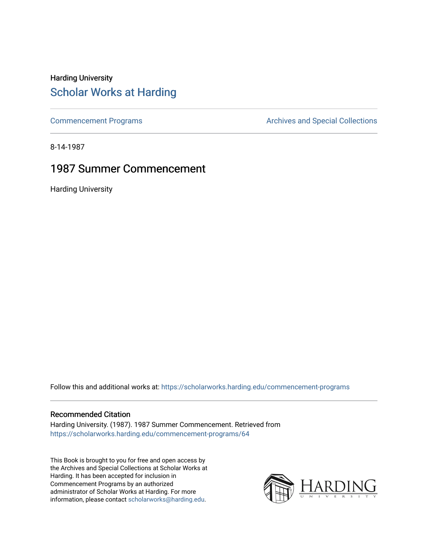### Harding University [Scholar Works at Harding](https://scholarworks.harding.edu/)

[Commencement Programs](https://scholarworks.harding.edu/commencement-programs) **Archives and Special Collections** Archives and Special Collections

8-14-1987

### 1987 Summer Commencement

Harding University

Follow this and additional works at: [https://scholarworks.harding.edu/commencement-programs](https://scholarworks.harding.edu/commencement-programs?utm_source=scholarworks.harding.edu%2Fcommencement-programs%2F64&utm_medium=PDF&utm_campaign=PDFCoverPages)

#### Recommended Citation

Harding University. (1987). 1987 Summer Commencement. Retrieved from [https://scholarworks.harding.edu/commencement-programs/64](https://scholarworks.harding.edu/commencement-programs/64?utm_source=scholarworks.harding.edu%2Fcommencement-programs%2F64&utm_medium=PDF&utm_campaign=PDFCoverPages) 

This Book is brought to you for free and open access by the Archives and Special Collections at Scholar Works at Harding. It has been accepted for inclusion in Commencement Programs by an authorized administrator of Scholar Works at Harding. For more information, please contact [scholarworks@harding.edu.](mailto:scholarworks@harding.edu)

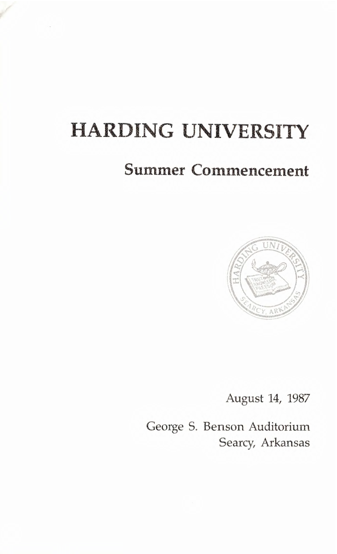# **HARDING UNIVERSITY**

# **Summer Commencement**



August 14, 1987

George S. Benson Auditorium Searcy, Arkansas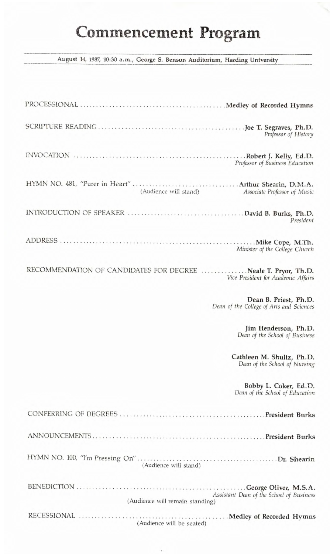# Commencement Program

August 14, 1987, 10:30 a.m., George S. Benson Auditorium, Harding University

| Professor of History                                                                                  |
|-------------------------------------------------------------------------------------------------------|
| Professor of Business Education                                                                       |
| (Audience will stand)<br>r in the sea<br>Associate Professor of Music                                 |
| President                                                                                             |
| Minister of the College Church                                                                        |
| RECOMMENDATION OF CANDIDATES FOR DEGREE  Neale T. Pryor, Th.D.<br>Vice President for Academic Affairs |
| Dean B. Priest, Ph.D.<br>Dean of the College of Arts and Sciences                                     |
| Jim Henderson, Ph.D.<br>Dean of the School of Business                                                |
| Cathleen M. Shultz, Ph.D.<br>Dean of the School of Nursing                                            |
| Bobby L. Coker, Ed.D.<br>Dean of the School of Education                                              |
|                                                                                                       |
|                                                                                                       |
|                                                                                                       |
| Assistant Dean of the School of Business<br>(Audience will remain standing)                           |
| (Audience will be seated)                                                                             |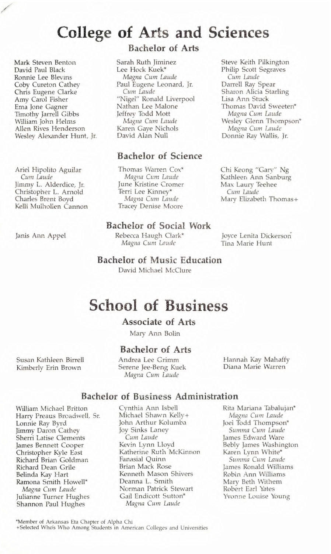## **College of Arts and Sciences**

Mark Steven Benton David Paul Black Ronnie Lee Blevins Coby Cureton Cathey Chris Eugene Clarke Amy Carol Fisher Ema Jone Gagner Timothy Jarrell Gibbs William John Helms Allen Rives Henderson Wesley Alexander Hunt, Jr.

Ariel Hipolito Aguilar *Cum Laude*  Jimmy L. Alderdice, Jr. Christopher L. Arnold Charles Brent Boyd Kelli Mulhollen Cannon

Janis Ann Appel

### **Bachelor of Arts**

Sarah Ruth Jiminez Lee Hock Kuek\* *Magna Cum Laude*  Paul Eugene Leonard, Jr. Cum Laude "Nigel" Ronald Liverpool Nathan Lee Malone Jeffrey Todd Mott Magna *Cum Laude*  Karen Gaye Nichols David Alan Null

#### **Bachelor of Science**

Thomas Warren Cox\* *Magna Cum Laude*  June Kristine Cromer Terri Lee Kinney\* *Magna Cum Laude*  Tracey Denise Moore

#### **Bachelor of Social Work**

Rebecca Haugh Clark\* *Magna Cum Laude* 

Steve Keith Pilkington Philip Scott Segraves *Cum Laud<sup>e</sup>* Darrell Ray Spear Sharon Alicia Starling Lisa Ann Stuck Thomas David Sweeten\* *Magna Cum Laude*  Wesley Glenn Thompson\* *Magna* Cum *Laud<sup>e</sup>* Donnie Ray Wallis, Jr.

Chi Keong "Gary'' Ng Kathleen Ann Sanburg Max Laury Teehee *Cum Laude*  Mary Elizabeth Thomas+

Joyce Lenita Dickerson Tina Marie Hunt

#### **Bachelor of Music Education**

David Michael McClure

## **School of Business**

#### **Associate of Arts**

Mary Ann Bolin

#### **Bachelor of Arts**

Andrea Lee Grimm Serene Jee-Beng Kuek Magna Cum Laude

Hannah Kay Mahaffy Diana Marie Warren

## **Bachelor of Business Administration**

William Michael Britton Harry Preaus Broadwell, Sr. Lonnie Ray Byrd Jimmy Daron Cathey Sherri Latise Clements James Bennett Cooper Christopher Kyle East Richard Brian Goldman Richard Dean Grile Belinda Kay Hart Ramona Smith Howell\* *Magna Cum Laude*  Julianne Turner Hughes Shannon Paul Hughes

Susan Kathleen Birrell Kimberly Erin Brown

> Cynthia Ann Isbell Michael Shawn Kelly+ John Arthur Kolumba Joy Sinks Laney *Cum Laude*  Kevin Lynn Lloyd Katherine Ruth McKinnon Fanasial Quinn Brian Mack Rose Kenneth Mason Shivers Deanna L. Smith Norman Patrick Stewart Gail Endicott Sutton\* *Magna Cum Laude*

Rita Mariana Tabalujan\* *Magna* Cum Laude Joel Todd Thompson\* *Summa Cum Laude*  James Edward Ware Bebly James Washington Karen Lynn White\* *Summa Cum Laud<sup>e</sup>* James Ronald Williams Robin Ann Williams Mary Beth Withem Robert Earl Yates Yvonne Louise Young